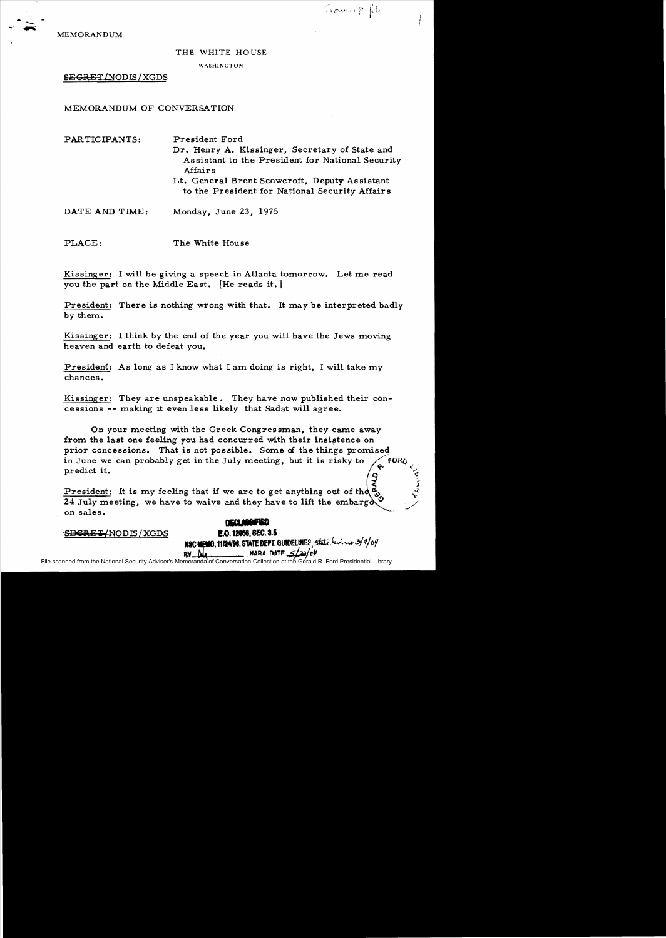Tround pl

MEMORANDUM

## THE WHITE HOUSE

## WASHINGTON

SEGRET/NODIS/XGDS

MEMORANDUM OF CONVERSATION

| PARTICIPANTS:  | President Ford<br>Dr. Henry A. Kissinger, Secretary of State and<br>Assistant to the President for National Security<br>Affairs<br>Lt. General Brent Scowcroft, Deputy Assistant<br>to the President for National Security Affairs |
|----------------|------------------------------------------------------------------------------------------------------------------------------------------------------------------------------------------------------------------------------------|
| DATE AND TIME: | Monday, June 23, 1975                                                                                                                                                                                                              |

PLACE: The White House

Kissinger: I will be giving a speech in Atlanta tomorrow. Let me read you the part on the Middle East. [He reads it.]

President: There is nothing wrong with that. It may be interpreted badly by them.

Kissinger: I think by the end of the year you will have the Jews moving heaven and earth to defeat you.

President: As long as I know what I am doing is right, I will take my chances.

Kissinger: They are unspeakable. They have now published their concessions -- making it even less likely that Sadat will agree.

On your meeting with the Greek Congressman, they came away from the last one feeling you had concurred with their insistence on prior concessions. That is not possible. Some of the things promiseq in June we can probably get in the July meeting, but it is risky to  $\sqrt{60R}$ predict it.  $\sqrt{2}$  $\frac{1}{2}$ 

President: It is my feeling that if we are to get anything out of the  $\vec{\mathfrak{C}}_0$ 24 July meeting, we have to waive and they have to lift the embarg $\lambda$ on sales.<br> **DECLARETED**<br>
FOLD THE CONTROLLER CONTROLLER CONTROLLER CONTROLLER CONTROLLER CONTROLLER CONTROLLER CONTROLLER CONTROLLER CONTROLLER CONTROLLER CONTROLLER CONTROLLER CONTROLLER CONTROLLER CONTROLLER CONTROLLER C

SECRET/NODIS/XGDS

## **E.O. 12056. SEC. 3.5** NSC MEMO. 1112498. STATE DEPT. GUIDELINES State leviewr 3/9/04

 $RV$  Me  $M$ 

File scanned from the National Security Adviser's Memoranda of Conversation Collection at the Gerald R. Ford Presidential Library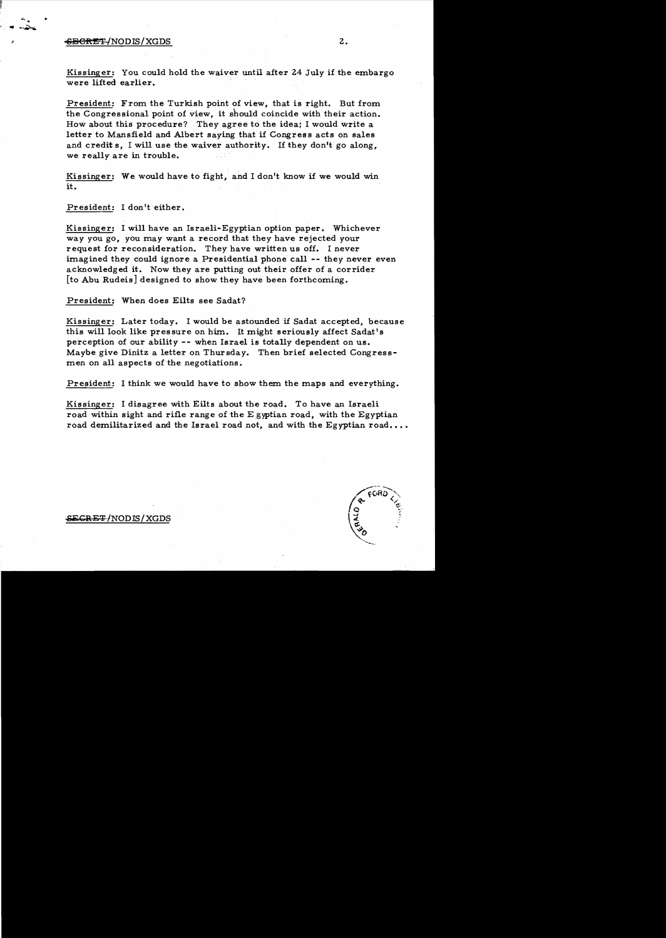## -S<del>ib Creative</del> And Distribution of the Sibbon Creative Association of the Sibbon Creative Association of the Sibbon Creative Association of the Sibbon Creative Association of the Sibbon Creative Association of the Sibbon

Kissinger: You could hold the waiver until after 24 July if the embargo were lifted earlier.

President: From the Turkish point of view, that is right. But from the Congressional point of view, it should coincide with their action. How about this procedure? They agree to the idea; I would write a letter to Mansfield and Albert saying that if Congress acts on sales and credits. I will use the waiver authority. If they don't go along. we really are in trouble.

Kissinger: We would have to fight, and I don't know if we would win it.

President: I don't either.

Kissinger: I will have an Israeli-Egyptian option paper. Whichever way you go, you may want a record that they have rejected your request for reconsideration. They have written us off. I never imagined they could ignore a Presidential phone call -- they never even acknowledged it. Now they are putting out their offer of a corrider [to Abu Rudeis] designed to show they have been forthcoming.

President: When does Eilts see Sadat?

Kissinger: Later today. I would be astounded if Sadat accepted, because this will look like pressure on him. It might seriously affect Sadat's perception of our ability -- when Israel is totally dependent on us. Maybe give Dinitz a letter on Thursday. Then brief selected Congressmen on all aspects of the negotiations.

President: I think we would have to show them the maps and everything.

Kissinger: I disagree with Eilts about the road. To have an Israeli road within sight and rifle range of the Egyptian road, with the Egyptian road demilitarized and the Israel road not, and with the Egyptian road....



 $SE$ GRET/NODIS/XGDS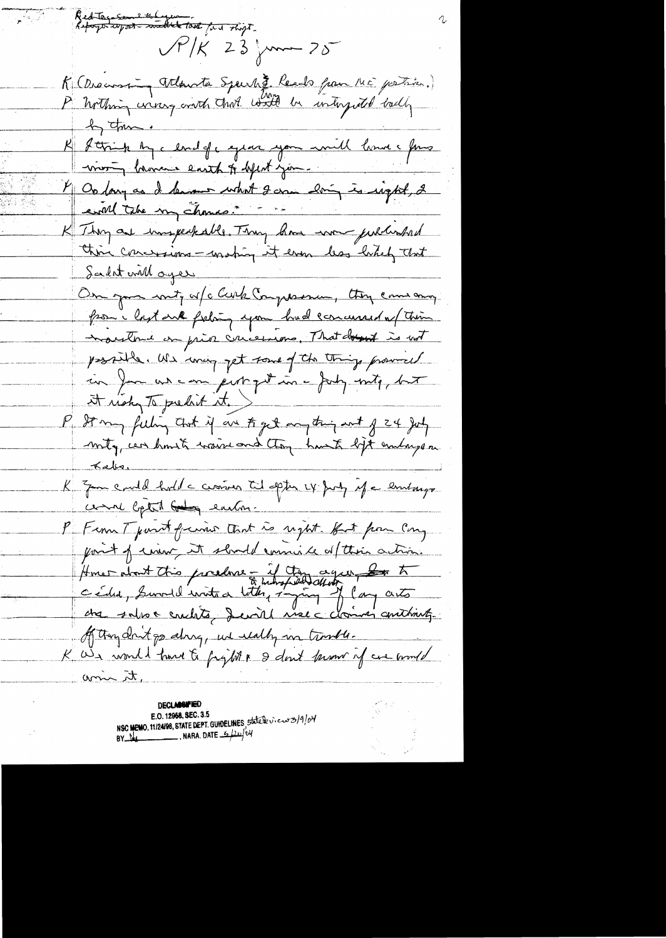Red Tags some the Lyon ...  $\sqrt{r}/K$  23  $\sim$  25 K (Discoursing Atlanta Spark). Reads from ME postion.)<br>P Nothing were good that with he interpreted badly by the . K forige by cloud of captain you will love a four most brance east of best jon. 4 Ou dang au de demand what I am doing is impted, 2 eval tabe my chance : - -K Thom are imageakable. Thom how won published thin concessions - making it even less likely that Salat will ages On your mot, of clerk Completion, they can any from heit and fishing you had concerned of their moutrie on prior concessions. That doesn't is not possible. We way get some of the things provided in for us can pertint in a July into, but it ricky To prelik it. P St my feeling that if are to get anything out of 24 July mity, can homete waive and they have ligt embargement Kaba K Zon could hold a crossin til optis LY Jury if a limbarge come betal being eachon. P From T part frais that is right. But from Cong point of ensure it should connicte afterna action. Homer about this procedure - if they again, book to of thought go along, we really in trankle. K We would have to fight & don't know of we would umin it,

**DECLASSIFIED** NSC MEMO, 11/24/98, STATE DEPT. GUIDELINES, 5tatele view 3/9/04 E.O. 12968, SEC. 3.5 BY  $M$